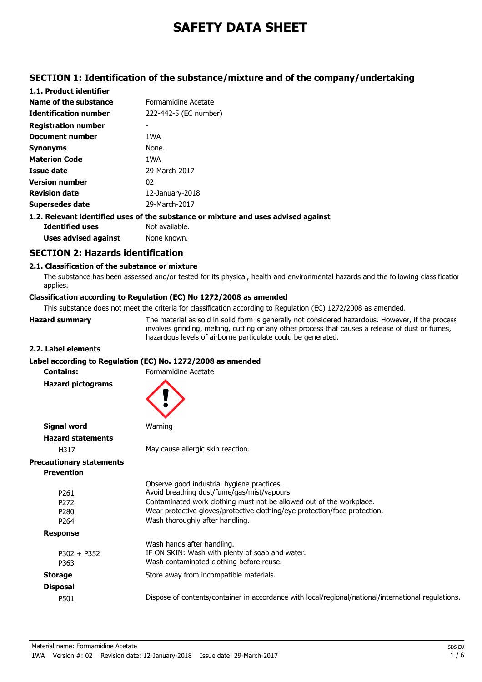# **SAFETY DATA SHEET**

## **SECTION 1: Identification of the substance/mixture and of the company/undertaking**

| 1.1. Product identifier      |                                                                                    |
|------------------------------|------------------------------------------------------------------------------------|
| Name of the substance        | Formamidine Acetate                                                                |
| <b>Identification number</b> | 222-442-5 (EC number)                                                              |
| <b>Registration number</b>   |                                                                                    |
| Document number              | 1WA                                                                                |
| <b>Synonyms</b>              | None.                                                                              |
| <b>Materion Code</b>         | 1WA                                                                                |
| Issue date                   | 29-March-2017                                                                      |
| <b>Version number</b>        | 02                                                                                 |
| <b>Revision date</b>         | $12$ -January-2018                                                                 |
| Supersedes date              | 29-March-2017                                                                      |
|                              | 1.2. Relevant identified uses of the substance or mixture and uses advised against |

**Identified uses** Not available. **Uses advised against** None known.

## **SECTION 2: Hazards identification**

### **2.1. Classification of the substance or mixture**

The substance has been assessed and/or tested for its physical, health and environmental hazards and the following classification applies.

## **Classification according to Regulation (EC) No 1272/2008 as amended**

This substance does not meet the criteria for classification according to Regulation (EC) 1272/2008 as amended.

**Hazard summary** The material as sold in solid form is generally not considered hazardous. However, if the process

involves grinding, melting, cutting or any other process that causes a release of dust or fumes, hazardous levels of airborne particulate could be generated.

#### **2.2. Label elements**

#### **Label according to Regulation (EC) No. 1272/2008 as amended**

**Contains:** Formamidine Acetate **Hazard pictograms Signal word** Warning **Hazard statements** H317 May cause allergic skin reaction. **Precautionary statements Prevention** Observe good industrial hygiene practices. P261 Avoid breathing dust/fume/gas/mist/vapours P272 Contaminated work clothing must not be allowed out of the workplace. P280 Wear protective gloves/protective clothing/eye protection/face protection. P264 Wash thoroughly after handling. **Response** Wash hands after handling. P302 + P352 IF ON SKIN: Wash with plenty of soap and water. P363 Wash contaminated clothing before reuse. **Storage** Store away from incompatible materials. **Disposal** P501 Dispose of contents/container in accordance with local/regional/national/international regulations.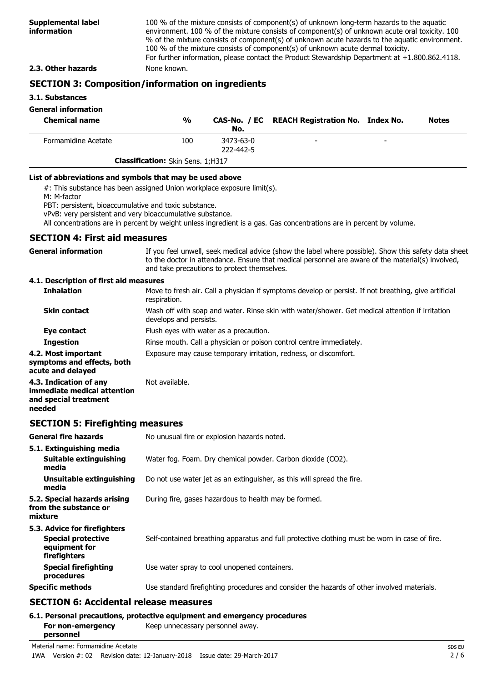100 % of the mixture consists of component(s) of unknown long-term hazards to the aquatic environment. 100 % of the mixture consists of component(s) of unknown acute oral toxicity. 100 % of the mixture consists of component(s) of unknown acute hazards to the aquatic environment. 100 % of the mixture consists of component(s) of unknown acute dermal toxicity. For further information, please contact the Product Stewardship Department at +1.800.862.4118.

### **2.3. Other hazards** None known.

## **SECTION 3: Composition/information on ingredients**

#### **3.1. Substances**

### **General information**

| <b>Chemical name</b> | $\frac{0}{0}$                            | No.                    | CAS-No. / EC REACH Registration No. Index No. |                          | <b>Notes</b> |
|----------------------|------------------------------------------|------------------------|-----------------------------------------------|--------------------------|--------------|
| Formamidine Acetate  | 100                                      | 3473-63-0<br>222-442-5 | $\overline{\phantom{0}}$                      | $\overline{\phantom{0}}$ |              |
|                      | <b>Classification:</b> Skin Sens. 1;H317 |                        |                                               |                          |              |

#### **List of abbreviations and symbols that may be used above**

#: This substance has been assigned Union workplace exposure limit(s).

M: M-factor

PBT: persistent, bioaccumulative and toxic substance.

vPvB: very persistent and very bioaccumulative substance.

All concentrations are in percent by weight unless ingredient is a gas. Gas concentrations are in percent by volume.

### **SECTION 4: First aid measures**

| <b>General information</b>            | If you feel unwell, seek medical advice (show the label where possible). Show this safety data sheet<br>to the doctor in attendance. Ensure that medical personnel are aware of the material(s) involved, |
|---------------------------------------|-----------------------------------------------------------------------------------------------------------------------------------------------------------------------------------------------------------|
|                                       | and take precautions to protect themselves.                                                                                                                                                               |
| 4.1 Deccription of first aid measures |                                                                                                                                                                                                           |

#### **4.1. Description of first aid measures**

| <b>Inhalation</b>                                                                        | Move to fresh air. Call a physician if symptoms develop or persist. If not breathing, give artificial<br>respiration.     |
|------------------------------------------------------------------------------------------|---------------------------------------------------------------------------------------------------------------------------|
| <b>Skin contact</b>                                                                      | Wash off with soap and water. Rinse skin with water/shower. Get medical attention if irritation<br>develops and persists. |
| Eye contact                                                                              | Flush eyes with water as a precaution.                                                                                    |
| <b>Ingestion</b>                                                                         | Rinse mouth. Call a physician or poison control centre immediately.                                                       |
| 4.2. Most important<br>symptoms and effects, both<br>acute and delayed                   | Exposure may cause temporary irritation, redness, or discomfort.                                                          |
| 4.3. Indication of any<br>immediate medical attention<br>and special treatment<br>needed | Not available.                                                                                                            |

## **SECTION 5: Firefighting measures**

| <b>General fire hazards</b>                                                                | No unusual fire or explosion hazards noted.                                                   |
|--------------------------------------------------------------------------------------------|-----------------------------------------------------------------------------------------------|
| 5.1. Extinguishing media<br>Suitable extinguishing<br>media                                | Water fog. Foam. Dry chemical powder. Carbon dioxide (CO2).                                   |
| Unsuitable extinguishing<br>media                                                          | Do not use water jet as an extinguisher, as this will spread the fire.                        |
| 5.2. Special hazards arising<br>from the substance or<br>mixture                           | During fire, gases hazardous to health may be formed.                                         |
| 5.3. Advice for firefighters<br><b>Special protective</b><br>equipment for<br>firefighters | Self-contained breathing apparatus and full protective clothing must be worn in case of fire. |
| <b>Special firefighting</b><br>procedures                                                  | Use water spray to cool unopened containers.                                                  |
| <b>Specific methods</b>                                                                    | Use standard firefighting procedures and consider the hazards of other involved materials.    |

### **SECTION 6: Accidental release measures**

#### **6.1. Personal precautions, protective equipment and emergency procedures For non-emergency** Keep unnecessary personnel away. **personnel**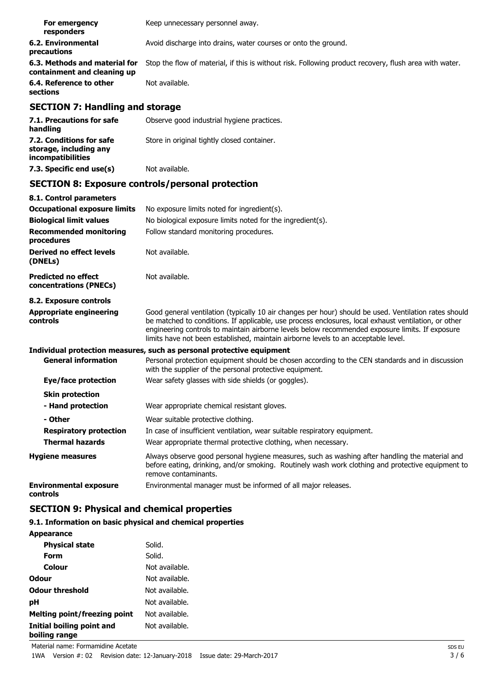| For emergency<br>responders                                  | Keep unnecessary personnel away.                                                                       |
|--------------------------------------------------------------|--------------------------------------------------------------------------------------------------------|
| 6.2. Environmental<br>precautions                            | Avoid discharge into drains, water courses or onto the ground.                                         |
| 6.3. Methods and material for<br>containment and cleaning up | Stop the flow of material, if this is without risk. Following product recovery, flush area with water. |
| 6.4. Reference to other<br>sections                          | Not available.                                                                                         |

## **SECTION 7: Handling and storage**

| 7.1. Precautions for safe<br>handling                                   | Observe good industrial hygiene practices.  |
|-------------------------------------------------------------------------|---------------------------------------------|
| 7.2. Conditions for safe<br>storage, including any<br>incompatibilities | Store in original tightly closed container. |
| 7.3. Specific end use(s)                                                | Not available.                              |

## **SECTION 8: Exposure controls/personal protection**

| 8.1. Control parameters                              |                                                                                                                                                                                                                                                                                                                                                                                                        |
|------------------------------------------------------|--------------------------------------------------------------------------------------------------------------------------------------------------------------------------------------------------------------------------------------------------------------------------------------------------------------------------------------------------------------------------------------------------------|
| <b>Occupational exposure limits</b>                  | No exposure limits noted for ingredient(s).                                                                                                                                                                                                                                                                                                                                                            |
| <b>Biological limit values</b>                       | No biological exposure limits noted for the ingredient(s).                                                                                                                                                                                                                                                                                                                                             |
| <b>Recommended monitoring</b><br>procedures          | Follow standard monitoring procedures.                                                                                                                                                                                                                                                                                                                                                                 |
| Derived no effect levels<br>(DNELs)                  | Not available.                                                                                                                                                                                                                                                                                                                                                                                         |
| <b>Predicted no effect</b><br>concentrations (PNECs) | Not available.                                                                                                                                                                                                                                                                                                                                                                                         |
| 8.2. Exposure controls                               |                                                                                                                                                                                                                                                                                                                                                                                                        |
| <b>Appropriate engineering</b><br>controls           | Good general ventilation (typically 10 air changes per hour) should be used. Ventilation rates should<br>be matched to conditions. If applicable, use process enclosures, local exhaust ventilation, or other<br>engineering controls to maintain airborne levels below recommended exposure limits. If exposure<br>limits have not been established, maintain airborne levels to an acceptable level. |
|                                                      | Individual protection measures, such as personal protective equipment                                                                                                                                                                                                                                                                                                                                  |
| <b>General information</b>                           | Personal protection equipment should be chosen according to the CEN standards and in discussion<br>with the supplier of the personal protective equipment.                                                                                                                                                                                                                                             |
| Eye/face protection                                  | Wear safety glasses with side shields (or goggles).                                                                                                                                                                                                                                                                                                                                                    |
| <b>Skin protection</b>                               |                                                                                                                                                                                                                                                                                                                                                                                                        |
| - Hand protection                                    | Wear appropriate chemical resistant gloves.                                                                                                                                                                                                                                                                                                                                                            |
| - Other                                              | Wear suitable protective clothing.                                                                                                                                                                                                                                                                                                                                                                     |
| <b>Respiratory protection</b>                        | In case of insufficient ventilation, wear suitable respiratory equipment.                                                                                                                                                                                                                                                                                                                              |
| <b>Thermal hazards</b>                               | Wear appropriate thermal protective clothing, when necessary.                                                                                                                                                                                                                                                                                                                                          |
| <b>Hygiene measures</b>                              | Always observe good personal hygiene measures, such as washing after handling the material and<br>before eating, drinking, and/or smoking. Routinely wash work clothing and protective equipment to<br>remove contaminants.                                                                                                                                                                            |
| <b>Environmental exposure</b><br>controls            | Environmental manager must be informed of all major releases.                                                                                                                                                                                                                                                                                                                                          |

## **SECTION 9: Physical and chemical properties**

## **9.1. Information on basic physical and chemical properties**

### **Appearance**

| <b>Physical state</b>                      | Solid.         |
|--------------------------------------------|----------------|
| Form                                       | Solid.         |
| Colour                                     | Not available. |
| Odour                                      | Not available. |
| <b>Odour threshold</b>                     | Not available. |
| рH                                         | Not available. |
| <b>Melting point/freezing point</b>        | Not available. |
| Initial boiling point and<br>boiling range | Not available. |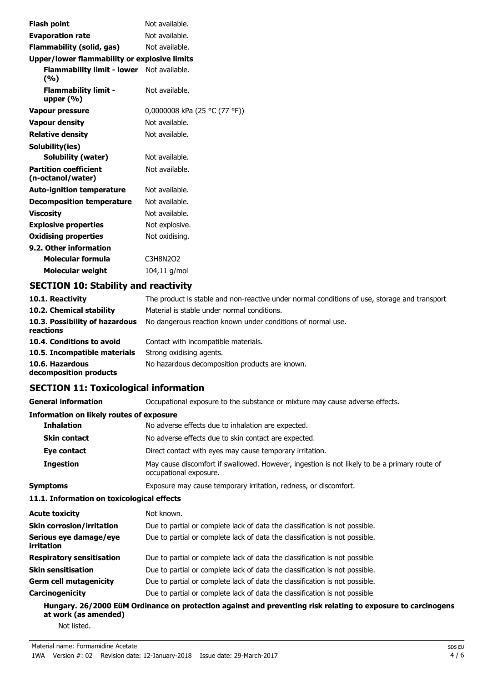| <b>Flash point</b>                                  | Not available.                |
|-----------------------------------------------------|-------------------------------|
| <b>Evaporation rate</b>                             | Not available.                |
| Flammability (solid, gas)                           | Not available.                |
| <b>Upper/lower flammability or explosive limits</b> |                               |
| Flammability limit - lower Not available.<br>(%)    |                               |
| <b>Flammability limit -</b><br>upper $(\%)$         | Not available.                |
| <b>Vapour pressure</b>                              | 0,0000008 kPa (25 °C (77 °F)) |
| <b>Vapour density</b>                               | Not available.                |
| <b>Relative density</b>                             | Not available.                |
| Solubility(ies)                                     |                               |
| Solubility (water)                                  | Not available.                |
| <b>Partition coefficient</b><br>(n-octanol/water)   | Not available.                |
| <b>Auto-ignition temperature</b>                    | Not available.                |
| <b>Decomposition temperature</b>                    | Not available.                |
| <b>Viscosity</b>                                    | Not available.                |
| <b>Explosive properties</b>                         | Not explosive.                |
| <b>Oxidising properties</b>                         | Not oxidising.                |
| 9.2. Other information                              |                               |
| Molecular formula                                   | C3H8N2O2                      |
| Molecular weight                                    | 104,11 g/mol                  |

## **SECTION 10: Stability and reactivity**

| 10.1. Reactivity                            | The product is stable and non-reactive under normal conditions of use, storage and transport |
|---------------------------------------------|----------------------------------------------------------------------------------------------|
| 10.2. Chemical stability                    | Material is stable under normal conditions.                                                  |
| 10.3. Possibility of hazardous<br>reactions | No dangerous reaction known under conditions of normal use.                                  |
| 10.4. Conditions to avoid                   | Contact with incompatible materials.                                                         |
| 10.5. Incompatible materials                | Strong oxidising agents.                                                                     |
| 10.6. Hazardous<br>decomposition products   | No hazardous decomposition products are known.                                               |

## **SECTION 11: Toxicological information**

| <b>General information</b>                 | Occupational exposure to the substance or mixture may cause adverse effects.                                           |
|--------------------------------------------|------------------------------------------------------------------------------------------------------------------------|
| Information on likely routes of exposure   |                                                                                                                        |
| <b>Inhalation</b>                          | No adverse effects due to inhalation are expected.                                                                     |
| <b>Skin contact</b>                        | No adverse effects due to skin contact are expected.                                                                   |
| Eye contact                                | Direct contact with eyes may cause temporary irritation.                                                               |
| <b>Ingestion</b>                           | May cause discomfort if swallowed. However, ingestion is not likely to be a primary route of<br>occupational exposure. |
| <b>Symptoms</b>                            | Exposure may cause temporary irritation, redness, or discomfort.                                                       |
| 11.1. Information on toxicological effects |                                                                                                                        |
| <b>Acute toxicity</b>                      | Not known.                                                                                                             |
| <b>Skin corrosion/irritation</b>           | Due to partial or complete lack of data the classification is not possible.                                            |
| Serious eye damage/eye<br>irritation       | Due to partial or complete lack of data the classification is not possible.                                            |
| <b>Respiratory sensitisation</b>           | Due to partial or complete lack of data the classification is not possible.                                            |
| <b>Skin sensitisation</b>                  | Due to partial or complete lack of data the classification is not possible.                                            |
| <b>Germ cell mutagenicity</b>              | Due to partial or complete lack of data the classification is not possible.                                            |
| Carcinogenicity                            | Due to partial or complete lack of data the classification is not possible.                                            |

**Hungary. 26/2000 EüM Ordinance on protection against and preventing risk relating to exposure to carcinogens at work (as amended)** Not listed.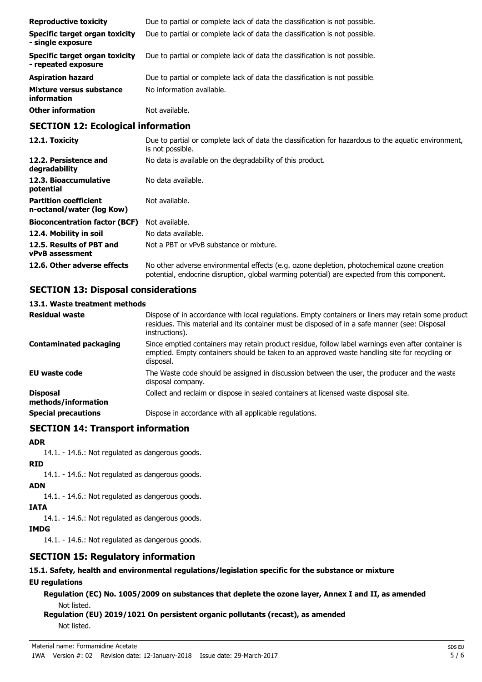| <b>Reproductive toxicity</b>                          | Due to partial or complete lack of data the classification is not possible. |
|-------------------------------------------------------|-----------------------------------------------------------------------------|
| Specific target organ toxicity<br>- single exposure   | Due to partial or complete lack of data the classification is not possible. |
| Specific target organ toxicity<br>- repeated exposure | Due to partial or complete lack of data the classification is not possible. |
| <b>Aspiration hazard</b>                              | Due to partial or complete lack of data the classification is not possible. |
| Mixture versus substance<br>information               | No information available.                                                   |
| <b>Other information</b>                              | Not available.                                                              |

### **SECTION 12: Ecological information**

| 12.1. Toxicity                                            | Due to partial or complete lack of data the classification for hazardous to the aquatic environment,<br>is not possible.                                                                   |
|-----------------------------------------------------------|--------------------------------------------------------------------------------------------------------------------------------------------------------------------------------------------|
| 12.2. Persistence and<br>degradability                    | No data is available on the degradability of this product.                                                                                                                                 |
| 12.3. Bioaccumulative<br>potential                        | No data available.                                                                                                                                                                         |
| <b>Partition coefficient</b><br>n-octanol/water (log Kow) | Not available.                                                                                                                                                                             |
| <b>Bioconcentration factor (BCF)</b>                      | Not available.                                                                                                                                                                             |
| 12.4. Mobility in soil                                    | No data available.                                                                                                                                                                         |
| 12.5. Results of PBT and<br><b>vPvB</b> assessment        | Not a PBT or vPvB substance or mixture.                                                                                                                                                    |
| 12.6. Other adverse effects                               | No other adverse environmental effects (e.g. ozone depletion, photochemical ozone creation<br>potential, endocrine disruption, global warming potential) are expected from this component. |

## **SECTION 13: Disposal considerations**

### **13.1. Waste treatment methods**

| <b>Residual waste</b>                  | Dispose of in accordance with local regulations. Empty containers or liners may retain some product<br>residues. This material and its container must be disposed of in a safe manner (see: Disposal<br>instructions). |
|----------------------------------------|------------------------------------------------------------------------------------------------------------------------------------------------------------------------------------------------------------------------|
| Contaminated packaging                 | Since emptied containers may retain product residue, follow label warnings even after container is<br>emptied. Empty containers should be taken to an approved waste handling site for recycling or<br>disposal.       |
| <b>EU waste code</b>                   | The Waste code should be assigned in discussion between the user, the producer and the waste<br>disposal company.                                                                                                      |
| <b>Disposal</b><br>methods/information | Collect and reclaim or dispose in sealed containers at licensed waste disposal site.                                                                                                                                   |
| <b>Special precautions</b>             | Dispose in accordance with all applicable regulations.                                                                                                                                                                 |

## **SECTION 14: Transport information**

#### **ADR**

14.1. - 14.6.: Not regulated as dangerous goods.

**RID**

14.1. - 14.6.: Not regulated as dangerous goods.

- **ADN**
	- 14.1. 14.6.: Not regulated as dangerous goods.

**IATA**

14.1. - 14.6.: Not regulated as dangerous goods.

**IMDG**

14.1. - 14.6.: Not regulated as dangerous goods.

## **SECTION 15: Regulatory information**

# **15.1. Safety, health and environmental regulations/legislation specific for the substance or mixture**

## **EU regulations**

**Regulation (EC) No. 1005/2009 on substances that deplete the ozone layer, Annex I and II, as amended** Not listed.

**Regulation (EU) 2019/1021 On persistent organic pollutants (recast), as amended** Not listed.